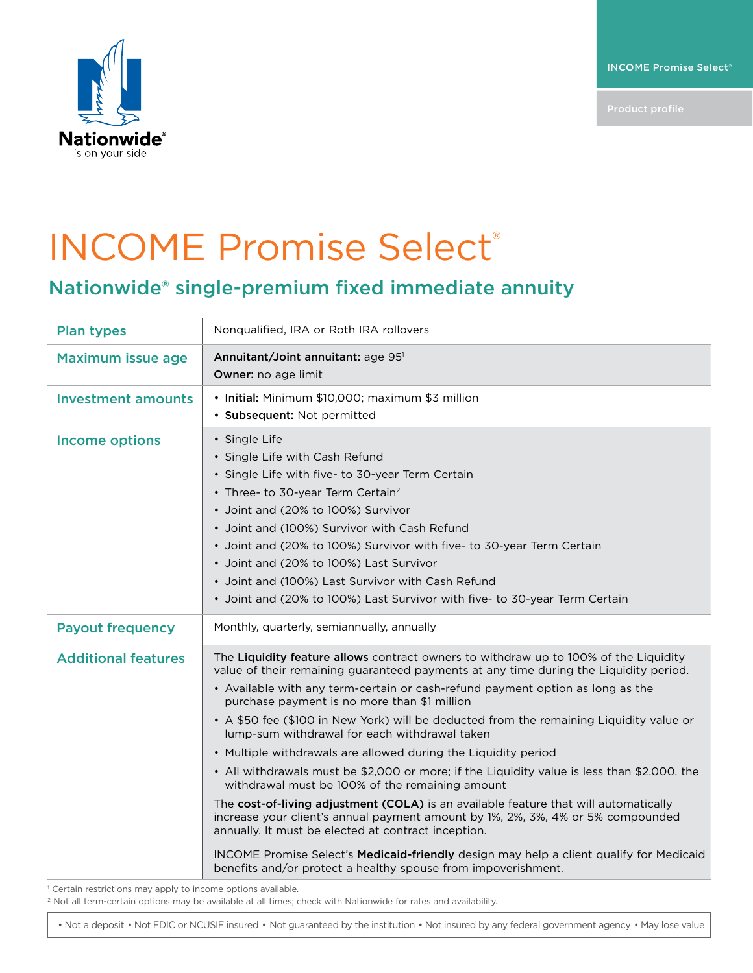INCOME Promise Select®



## INCOME Promise Select®

## Nationwide® single-premium fixed immediate annuity

| <b>Plan types</b>          | Nonqualified, IRA or Roth IRA rollovers                                                                                                                                                                                                                                                                                                                                                                                                                                                                                                                                                                                                                                                                                                                                                                                                                                                                                                                                                                                                                                       |
|----------------------------|-------------------------------------------------------------------------------------------------------------------------------------------------------------------------------------------------------------------------------------------------------------------------------------------------------------------------------------------------------------------------------------------------------------------------------------------------------------------------------------------------------------------------------------------------------------------------------------------------------------------------------------------------------------------------------------------------------------------------------------------------------------------------------------------------------------------------------------------------------------------------------------------------------------------------------------------------------------------------------------------------------------------------------------------------------------------------------|
| <b>Maximum issue age</b>   | Annuitant/Joint annuitant: age 951<br>Owner: no age limit                                                                                                                                                                                                                                                                                                                                                                                                                                                                                                                                                                                                                                                                                                                                                                                                                                                                                                                                                                                                                     |
| <b>Investment amounts</b>  | • Initial: Minimum \$10,000; maximum \$3 million<br>· Subsequent: Not permitted                                                                                                                                                                                                                                                                                                                                                                                                                                                                                                                                                                                                                                                                                                                                                                                                                                                                                                                                                                                               |
| <b>Income options</b>      | • Single Life<br>• Single Life with Cash Refund<br>• Single Life with five- to 30-year Term Certain<br>• Three- to 30-year Term Certain <sup>2</sup><br>• Joint and (20% to 100%) Survivor<br>• Joint and (100%) Survivor with Cash Refund<br>• Joint and (20% to 100%) Survivor with five- to 30-year Term Certain<br>• Joint and (20% to 100%) Last Survivor<br>• Joint and (100%) Last Survivor with Cash Refund<br>• Joint and (20% to 100%) Last Survivor with five- to 30-year Term Certain                                                                                                                                                                                                                                                                                                                                                                                                                                                                                                                                                                             |
| <b>Payout frequency</b>    | Monthly, quarterly, semiannually, annually                                                                                                                                                                                                                                                                                                                                                                                                                                                                                                                                                                                                                                                                                                                                                                                                                                                                                                                                                                                                                                    |
| <b>Additional features</b> | The Liquidity feature allows contract owners to withdraw up to 100% of the Liquidity<br>value of their remaining guaranteed payments at any time during the Liquidity period.<br>• Available with any term-certain or cash-refund payment option as long as the<br>purchase payment is no more than \$1 million<br>• A \$50 fee (\$100 in New York) will be deducted from the remaining Liquidity value or<br>lump-sum withdrawal for each withdrawal taken<br>• Multiple withdrawals are allowed during the Liquidity period<br>• All withdrawals must be \$2,000 or more; if the Liquidity value is less than \$2,000, the<br>withdrawal must be 100% of the remaining amount<br>The cost-of-living adjustment (COLA) is an available feature that will automatically<br>increase your client's annual payment amount by 1%, 2%, 3%, 4% or 5% compounded<br>annually. It must be elected at contract inception.<br>INCOME Promise Select's Medicaid-friendly design may help a client qualify for Medicaid<br>benefits and/or protect a healthy spouse from impoverishment. |

<sup>1</sup> Certain restrictions may apply to income options available.

<sup>2</sup> Not all term-certain options may be available at all times; check with Nationwide for rates and availability.

• Not a deposit • Not FDIC or NCUSIF insured • Not guaranteed by the institution • Not insured by any federal government agency • May lose value